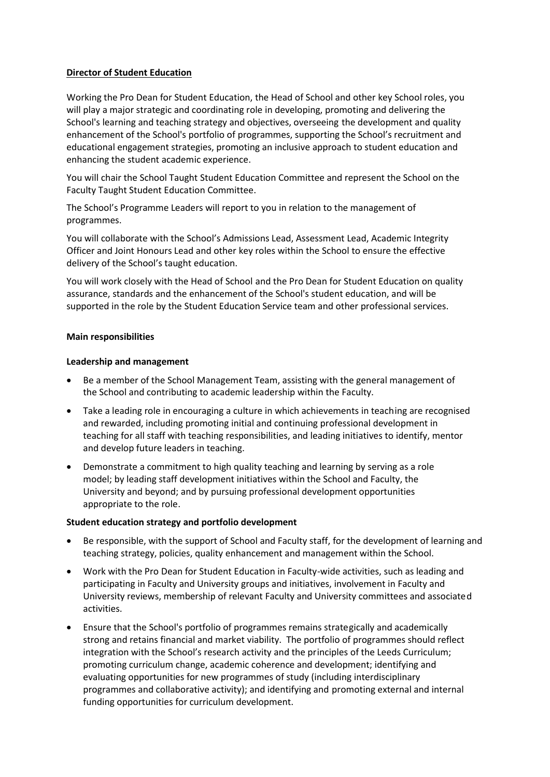## **Director of Student Education**

Working the Pro Dean for Student Education, the Head of School and other key School roles, you will play a major strategic and coordinating role in developing, promoting and delivering the School's learning and teaching strategy and objectives, overseeing the development and quality enhancement of the School's portfolio of programmes, supporting the School's recruitment and educational engagement strategies, promoting an inclusive approach to student education and enhancing the student academic experience.

You will chair the School Taught Student Education Committee and represent the School on the Faculty Taught Student Education Committee.

The School's Programme Leaders will report to you in relation to the management of programmes.

You will collaborate with the School's Admissions Lead, Assessment Lead, Academic Integrity Officer and Joint Honours Lead and other key roles within the School to ensure the effective delivery of the School's taught education.

You will work closely with the Head of School and the Pro Dean for Student Education on quality assurance, standards and the enhancement of the School's student education, and will be supported in the role by the Student Education Service team and other professional services.

### **Main responsibilities**

# **Leadership and management**

- Be a member of the School Management Team, assisting with the general management of the School and contributing to academic leadership within the Faculty.
- Take a leading role in encouraging a culture in which achievements in teaching are recognised and rewarded, including promoting initial and continuing professional development in teaching for all staff with teaching responsibilities, and leading initiatives to identify, mentor and develop future leaders in teaching.
- Demonstrate a commitment to high quality teaching and learning by serving as a role model; by leading staff development initiatives within the School and Faculty, the University and beyond; and by pursuing professional development opportunities appropriate to the role.

### **Student education strategy and portfolio development**

- Be responsible, with the support of School and Faculty staff, for the development of learning and teaching strategy, policies, quality enhancement and management within the School.
- Work with the Pro Dean for Student Education in Faculty-wide activities, such as leading and participating in Faculty and University groups and initiatives, involvement in Faculty and University reviews, membership of relevant Faculty and University committees and associated activities.
- Ensure that the School's portfolio of programmes remains strategically and academically strong and retains financial and market viability. The portfolio of programmes should reflect integration with the School's research activity and the principles of the Leeds Curriculum; promoting curriculum change, academic coherence and development; identifying and evaluating opportunities for new programmes of study (including interdisciplinary programmes and collaborative activity); and identifying and promoting external and internal funding opportunities for curriculum development.